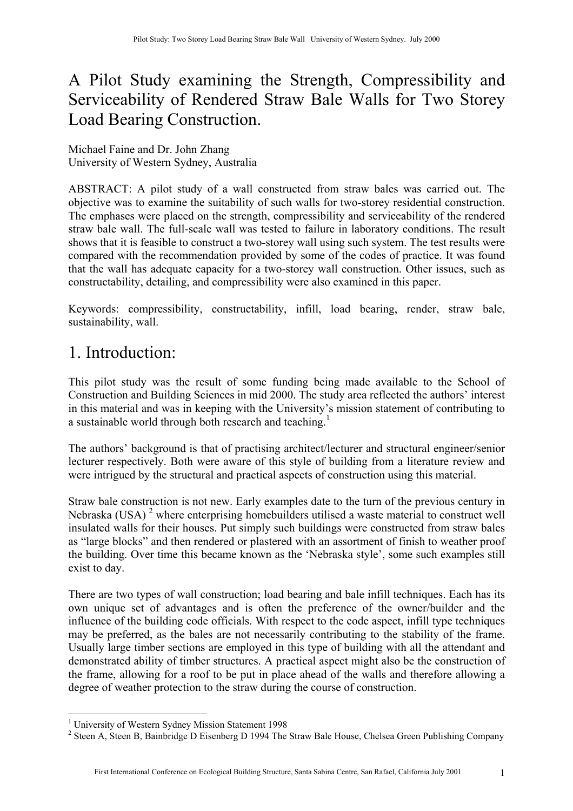## A Pilot Study examining the Strength, Compressibility and Serviceability of Rendered Straw Bale Walls for Two Storey Load Bearing Construction.

Michael Faine and Dr. John Zhang University of Western Sydney, Australia

ABSTRACT: A pilot study of a wall constructed from straw bales was carried out. The objective was to examine the suitability of such walls for two-storey residential construction. The emphases were placed on the strength, compressibility and serviceability of the rendered straw bale wall. The full-scale wall was tested to failure in laboratory conditions. The result shows that it is feasible to construct a two-storey wall using such system. The test results were compared with the recommendation provided by some of the codes of practice. It was found that the wall has adequate capacity for a two-storey wall construction. Other issues, such as constructability, detailing, and compressibility were also examined in this paper.

Keywords: compressibility, constructability, infill, load bearing, render, straw bale, sustainability, wall.

### 1. Introduction:

This pilot study was the result of some funding being made available to the School of Construction and Building Sciences in mid 2000. The study area reflected the authors' interest in this material and was in keeping with the University's mission statement of contributing to a sustainable world through both research and teaching.<sup>1</sup>

The authors' background is that of practising architect/lecturer and structural engineer/senior lecturer respectively. Both were aware of this style of building from a literature review and were intrigued by the structural and practical aspects of construction using this material.

Straw bale construction is not new. Early examples date to the turn of the previous century in Nebraska (USA)<sup>[2](#page-0-1)</sup> where enterprising homebuilders utilised a waste material to construct well insulated walls for their houses. Put simply such buildings were constructed from straw bales as "large blocks" and then rendered or plastered with an assortment of finish to weather proof the building. Over time this became known as the 'Nebraska style', some such examples still exist to day.

There are two types of wall construction; load bearing and bale infill techniques. Each has its own unique set of advantages and is often the preference of the owner/builder and the influence of the building code officials. With respect to the code aspect, infill type techniques may be preferred, as the bales are not necessarily contributing to the stability of the frame. Usually large timber sections are employed in this type of building with all the attendant and demonstrated ability of timber structures. A practical aspect might also be the construction of the frame, allowing for a roof to be put in place ahead of the walls and therefore allowing a degree of weather protection to the straw during the course of construction.

<span id="page-0-0"></span> $\overline{a}$ <sup>1</sup> University of Western Sydney Mission Statement 1998<br> $\frac{1}{2}$  Steep A. Steep B. Beinhridge D. Eigenberg D. 1004 The

<span id="page-0-1"></span><sup>&</sup>lt;sup>2</sup> Steen A, Steen B, Bainbridge D Eisenberg D 1994 The Straw Bale House, Chelsea Green Publishing Company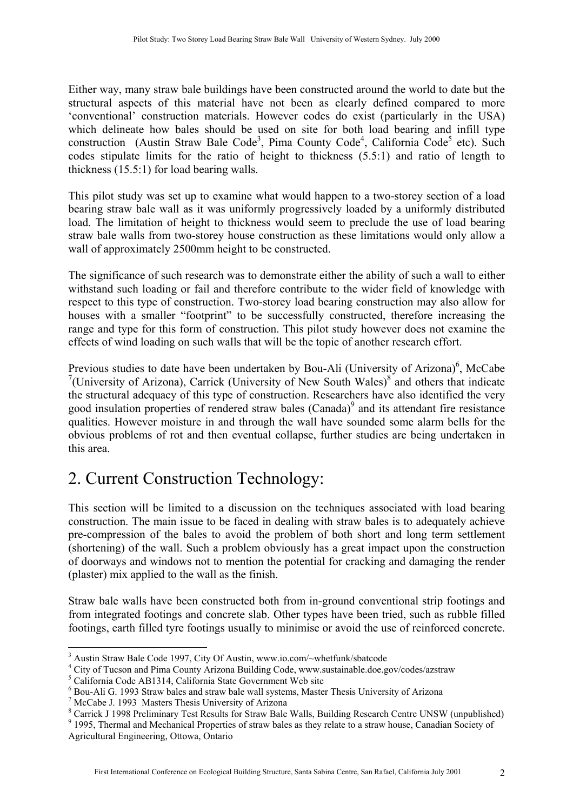Either way, many straw bale buildings have been constructed around the world to date but the structural aspects of this material have not been as clearly defined compared to more 'conventional' construction materials. However codes do exist (particularly in the USA) which delineate how bales should be used on site for both load bearing and infill type construction (Austin Straw Bale Code<sup>[3](#page-1-0)</sup>, Pima County Code<sup>[4](#page-1-1)</sup>, California Code<sup>5</sup> etc). Such codes stipulate limits for the ratio of height to thickness (5.5:1) and ratio of length to thickness (15.5:1) for load bearing walls.

This pilot study was set up to examine what would happen to a two-storey section of a load bearing straw bale wall as it was uniformly progressively loaded by a uniformly distributed load. The limitation of height to thickness would seem to preclude the use of load bearing straw bale walls from two-storey house construction as these limitations would only allow a wall of approximately 2500mm height to be constructed.

The significance of such research was to demonstrate either the ability of such a wall to either withstand such loading or fail and therefore contribute to the wider field of knowledge with respect to this type of construction. Two-storey load bearing construction may also allow for houses with a smaller "footprint" to be successfully constructed, therefore increasing the range and type for this form of construction. This pilot study however does not examine the effects of wind loading on such walls that will be the topic of another research effort.

Previous studies to date have been undertaken by Bou-Ali (University of Arizona)<sup>6</sup>, McCabe <sup>[7](#page-1-4)</sup>(University of Arizona), Carrick (University of New South Wales)<sup>[8](#page-1-5)</sup> and others that indicate the structural adequacy of this type of construction. Researchers have also identified the very good insulation properties of rendered straw bales (Canada)<sup>[9](#page-1-6)</sup> and its attendant fire resistance qualities. However moisture in and through the wall have sounded some alarm bells for the obvious problems of rot and then eventual collapse, further studies are being undertaken in this area.

# 2. Current Construction Technology:

This section will be limited to a discussion on the techniques associated with load bearing construction. The main issue to be faced in dealing with straw bales is to adequately achieve pre-compression of the bales to avoid the problem of both short and long term settlement (shortening) of the wall. Such a problem obviously has a great impact upon the construction of doorways and windows not to mention the potential for cracking and damaging the render (plaster) mix applied to the wall as the finish.

Straw bale walls have been constructed both from in-ground conventional strip footings and from integrated footings and concrete slab. Other types have been tried, such as rubble filled footings, earth filled tyre footings usually to minimise or avoid the use of reinforced concrete.

<span id="page-1-0"></span> $\overline{a}$ <sup>3</sup> Austin Straw Bale Code 1997, City Of Austin, www.io.com/~whetfunk/sbatcode  $\frac{4}{1}$  City of Tueson and Pime County Arizone Building Code, www.sutterplace as a

<span id="page-1-1"></span><sup>&</sup>lt;sup>4</sup> City of Tucson and Pima County Arizona Building Code, www.sustainable.doe.gov/codes/azstraw

<span id="page-1-2"></span> $^5$  California Code AB1314, California State Government Web site

<span id="page-1-3"></span><sup>&</sup>lt;sup>6</sup> Bou-Ali G. 1993 Straw bales and straw bale wall systems, Master Thesis University of Arizona

<span id="page-1-4"></span> $7$  McCabe J. 1993 Masters Thesis University of Arizona

<span id="page-1-5"></span><sup>&</sup>lt;sup>8</sup> Carrick J 1998 Preliminary Test Results for Straw Bale Walls, Building Research Centre UNSW (unpublished)

<span id="page-1-6"></span><sup>&</sup>lt;sup>9</sup> 1995, Thermal and Mechanical Properties of straw bales as they relate to a straw house, Canadian Society of Agricultural Engineering, Ottowa, Ontario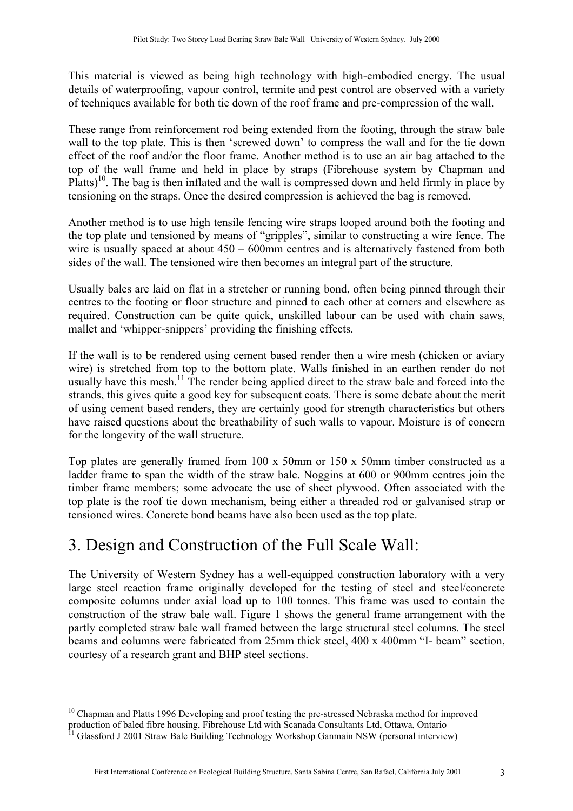This material is viewed as being high technology with high-embodied energy. The usual details of waterproofing, vapour control, termite and pest control are observed with a variety of techniques available for both tie down of the roof frame and pre-compression of the wall.

These range from reinforcement rod being extended from the footing, through the straw bale wall to the top plate. This is then 'screwed down' to compress the wall and for the tie down effect of the roof and/or the floor frame. Another method is to use an air bag attached to the top of the wall frame and held in place by straps (Fibrehouse system by Chapman and Platts)<sup>10</sup>. The bag is then inflated and the wall is compressed down and held firmly in place by tensioning on the straps. Once the desired compression is achieved the bag is removed.

Another method is to use high tensile fencing wire straps looped around both the footing and the top plate and tensioned by means of "gripples", similar to constructing a wire fence. The wire is usually spaced at about  $450 - 600$  mm centres and is alternatively fastened from both sides of the wall. The tensioned wire then becomes an integral part of the structure.

Usually bales are laid on flat in a stretcher or running bond, often being pinned through their centres to the footing or floor structure and pinned to each other at corners and elsewhere as required. Construction can be quite quick, unskilled labour can be used with chain saws, mallet and 'whipper-snippers' providing the finishing effects.

If the wall is to be rendered using cement based render then a wire mesh (chicken or aviary wire) is stretched from top to the bottom plate. Walls finished in an earthen render do not usually have this mesh.<sup>11</sup> The render being applied direct to the straw bale and forced into the strands, this gives quite a good key for subsequent coats. There is some debate about the merit of using cement based renders, they are certainly good for strength characteristics but others have raised questions about the breathability of such walls to vapour. Moisture is of concern for the longevity of the wall structure.

Top plates are generally framed from 100 x 50mm or 150 x 50mm timber constructed as a ladder frame to span the width of the straw bale. Noggins at 600 or 900mm centres join the timber frame members; some advocate the use of sheet plywood. Often associated with the top plate is the roof tie down mechanism, being either a threaded rod or galvanised strap or tensioned wires. Concrete bond beams have also been used as the top plate.

## 3. Design and Construction of the Full Scale Wall:

The University of Western Sydney has a well-equipped construction laboratory with a very large steel reaction frame originally developed for the testing of steel and steel/concrete composite columns under axial load up to 100 tonnes. This frame was used to contain the construction of the straw bale wall. Figure 1 shows the general frame arrangement with the partly completed straw bale wall framed between the large structural steel columns. The steel beams and columns were fabricated from 25mm thick steel, 400 x 400mm "I- beam" section, courtesy of a research grant and BHP steel sections.

 $\overline{a}$ 

<span id="page-2-0"></span> $10$  Chapman and Platts 1996 Developing and proof testing the pre-stressed Nebraska method for improved production of baled fibre housing, Fibrehouse Ltd with Scanada Consultants Ltd, Ottawa, Ontario<br><sup>11</sup> Glassford J 2001 Straw Bale Building Technology Workshop Ganmain NSW (personal interview)

<span id="page-2-1"></span>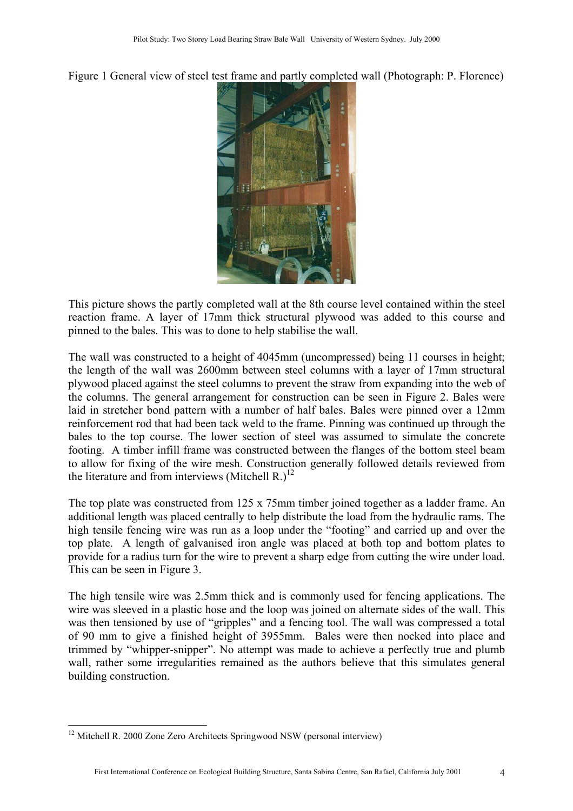Figure 1 General view of steel test frame and partly completed wall (Photograph: P. Florence)



This picture shows the partly completed wall at the 8th course level contained within the steel reaction frame. A layer of 17mm thick structural plywood was added to this course and pinned to the bales. This was to done to help stabilise the wall.

The wall was constructed to a height of 4045mm (uncompressed) being 11 courses in height; the length of the wall was 2600mm between steel columns with a layer of 17mm structural plywood placed against the steel columns to prevent the straw from expanding into the web of the columns. The general arrangement for construction can be seen in Figure 2. Bales were laid in stretcher bond pattern with a number of half bales. Bales were pinned over a 12mm reinforcement rod that had been tack weld to the frame. Pinning was continued up through the bales to the top course. The lower section of steel was assumed to simulate the concrete footing. A timber infill frame was constructed between the flanges of the bottom steel beam to allow for fixing of the wire mesh. Construction generally followed details reviewed from the literature and from interviews (Mitchell R.)<sup>[12](#page-3-0)</sup>

The top plate was constructed from 125 x 75mm timber joined together as a ladder frame. An additional length was placed centrally to help distribute the load from the hydraulic rams. The high tensile fencing wire was run as a loop under the "footing" and carried up and over the top plate. A length of galvanised iron angle was placed at both top and bottom plates to provide for a radius turn for the wire to prevent a sharp edge from cutting the wire under load. This can be seen in Figure 3.

The high tensile wire was 2.5mm thick and is commonly used for fencing applications. The wire was sleeved in a plastic hose and the loop was joined on alternate sides of the wall. This was then tensioned by use of "gripples" and a fencing tool. The wall was compressed a total of 90 mm to give a finished height of 3955mm. Bales were then nocked into place and trimmed by "whipper-snipper". No attempt was made to achieve a perfectly true and plumb wall, rather some irregularities remained as the authors believe that this simulates general building construction.

 $\overline{a}$ 

<span id="page-3-0"></span> $12$  Mitchell R. 2000 Zone Zero Architects Springwood NSW (personal interview)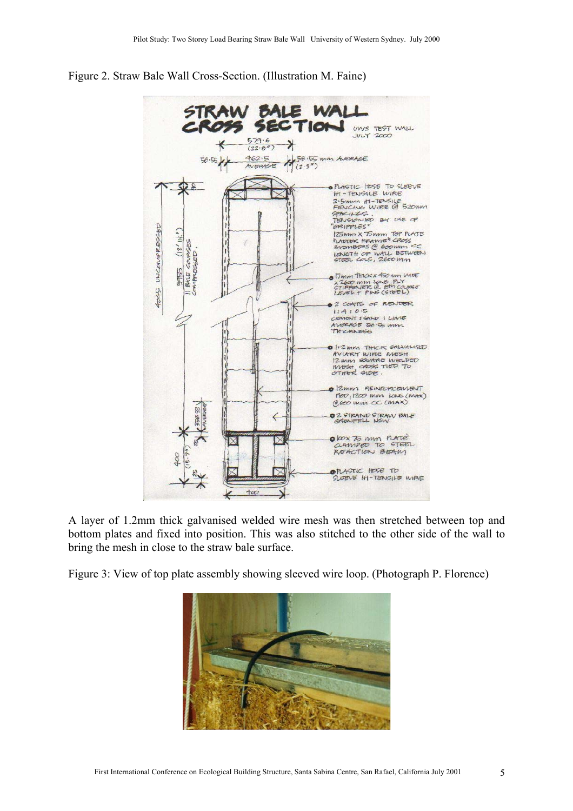

#### Figure 2. Straw Bale Wall Cross-Section. (Illustration M. Faine)

A layer of 1.2mm thick galvanised welded wire mesh was then stretched between top and bottom plates and fixed into position. This was also stitched to the other side of the wall to bring the mesh in close to the straw bale surface.

Figure 3: View of top plate assembly showing sleeved wire loop. (Photograph P. Florence)

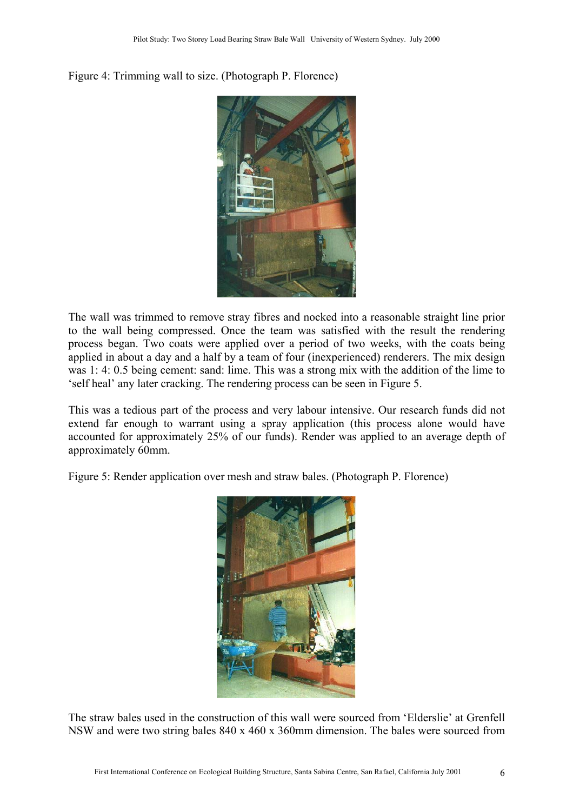#### Figure 4: Trimming wall to size. (Photograph P. Florence)



The wall was trimmed to remove stray fibres and nocked into a reasonable straight line prior to the wall being compressed. Once the team was satisfied with the result the rendering process began. Two coats were applied over a period of two weeks, with the coats being applied in about a day and a half by a team of four (inexperienced) renderers. The mix design was 1: 4: 0.5 being cement: sand: lime. This was a strong mix with the addition of the lime to 'self heal' any later cracking. The rendering process can be seen in Figure 5.

This was a tedious part of the process and very labour intensive. Our research funds did not extend far enough to warrant using a spray application (this process alone would have accounted for approximately 25% of our funds). Render was applied to an average depth of approximately 60mm.

Figure 5: Render application over mesh and straw bales. (Photograph P. Florence)



The straw bales used in the construction of this wall were sourced from 'Elderslie' at Grenfell NSW and were two string bales 840 x 460 x 360mm dimension. The bales were sourced from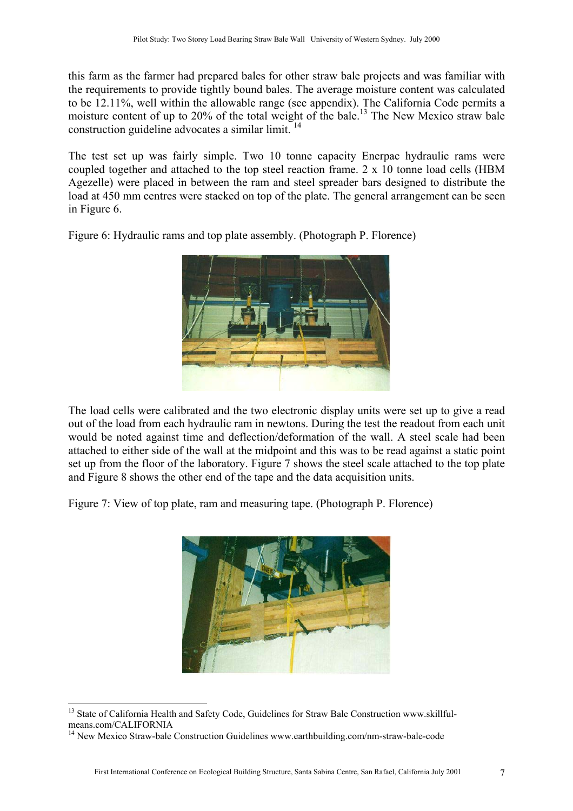this farm as the farmer had prepared bales for other straw bale projects and was familiar with the requirements to provide tightly bound bales. The average moisture content was calculated to be 12.11%, well within the allowable range (see appendix). The California Code permits a moisture content of up to  $20\%$  of the total weight of the bale.<sup>13</sup> The New Mexico straw bale construction guideline advocates a similar limit. [14](#page-6-1)

The test set up was fairly simple. Two 10 tonne capacity Enerpac hydraulic rams were coupled together and attached to the top steel reaction frame. 2 x 10 tonne load cells (HBM Agezelle) were placed in between the ram and steel spreader bars designed to distribute the load at 450 mm centres were stacked on top of the plate. The general arrangement can be seen in Figure 6.

Figure 6: Hydraulic rams and top plate assembly. (Photograph P. Florence)



The load cells were calibrated and the two electronic display units were set up to give a read out of the load from each hydraulic ram in newtons. During the test the readout from each unit would be noted against time and deflection/deformation of the wall. A steel scale had been attached to either side of the wall at the midpoint and this was to be read against a static point set up from the floor of the laboratory. Figure 7 shows the steel scale attached to the top plate and Figure 8 shows the other end of the tape and the data acquisition units.

Figure 7: View of top plate, ram and measuring tape. (Photograph P. Florence)



<sup>&</sup>lt;sup>13</sup> State of California Health and Safety Code, Guidelines for Straw Bale Construction www.skillful-<br>means.com/CALIFORNIA

<span id="page-6-0"></span> $\overline{a}$ 

<span id="page-6-1"></span> $14$  New Mexico Straw-bale Construction Guidelines www.earthbuilding.com/nm-straw-bale-code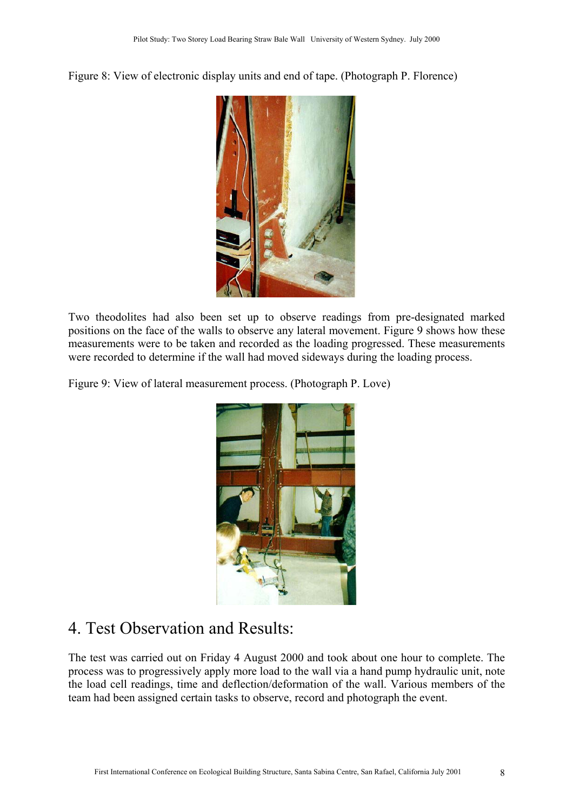Figure 8: View of electronic display units and end of tape. (Photograph P. Florence)



Two theodolites had also been set up to observe readings from pre-designated marked positions on the face of the walls to observe any lateral movement. Figure 9 shows how these measurements were to be taken and recorded as the loading progressed. These measurements were recorded to determine if the wall had moved sideways during the loading process.

Figure 9: View of lateral measurement process. (Photograph P. Love)



## 4. Test Observation and Results:

The test was carried out on Friday 4 August 2000 and took about one hour to complete. The process was to progressively apply more load to the wall via a hand pump hydraulic unit, note the load cell readings, time and deflection/deformation of the wall. Various members of the team had been assigned certain tasks to observe, record and photograph the event.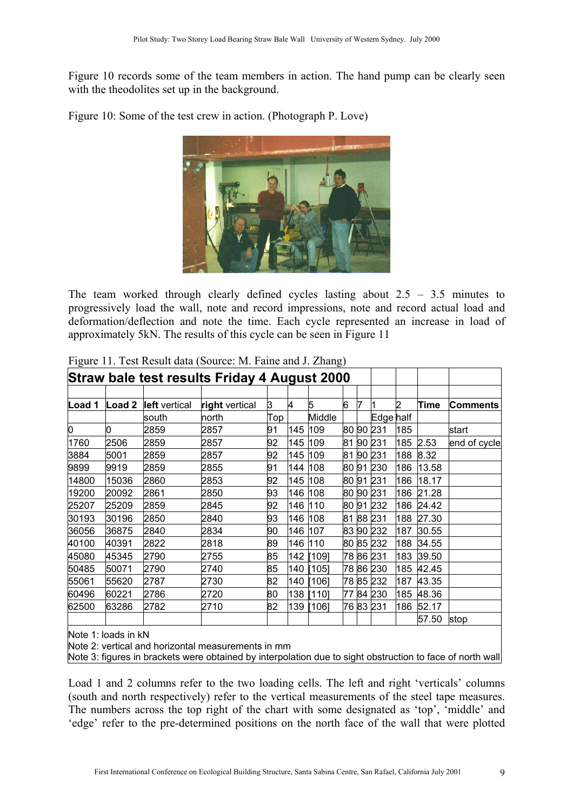Figure 10 records some of the team members in action. The hand pump can be clearly seen with the theodolites set up in the background.

Figure 10: Some of the test crew in action. (Photograph P. Love)



The team worked through clearly defined cycles lasting about  $2.5 - 3.5$  minutes to progressively load the wall, note and record impressions, note and record actual load and deformation/deflection and note the time. Each cycle represented an increase in load of approximately 5kN. The results of this cycle can be seen in Figure 11

| Straw bale test results Friday 4 August 2000 |                   |               |                |     |     |        |    |    |           |     |       |              |
|----------------------------------------------|-------------------|---------------|----------------|-----|-----|--------|----|----|-----------|-----|-------|--------------|
|                                              |                   |               |                |     |     |        |    |    |           |     |       |              |
| Load 1                                       | Load <sub>2</sub> | left vertical | right vertical | 3   | 14  | 5      | 6  |    |           | 2   | Time  | Comments     |
|                                              |                   | south         | north          | Top |     | Middle |    |    | Edge half |     |       |              |
| О                                            | 0                 | 2859          | 2857           | 91  | 145 | 109    | 80 |    | 90 231    | 185 |       | start        |
| 1760                                         | 2506              | 2859          | 2857           | 92  | 145 | 109    | 81 | 90 | 231       | 185 | 2.53  | end of cycle |
| 3884                                         | 5001              | 2859          | 2857           | 92  | 145 | 109    | 81 |    | 90 231    | 188 | 8.32  |              |
| 9899                                         | 9919              | 2859          | 2855           | 91  | 144 | 108    | 80 | 91 | 230       | 186 | 13.58 |              |
| 14800                                        | 15036             | 2860          | 2853           | 92  | 145 | 108    | 80 | 91 | 231       | 186 | 18.17 |              |
| 19200                                        | 20092             | 2861          | 2850           | 93  | 146 | 108    | 80 |    | 90 231    | 186 | 21.28 |              |
| 25207                                        | 25209             | 2859          | 2845           | 92  | 146 | 110    | 80 | 91 | 232       | 186 | 24.42 |              |
| 30193                                        | 30196             | 2850          | 2840           | 93  | 146 | 108    | 81 |    | 88 231    | 188 | 27.30 |              |
| 36056                                        | 36875             | 2840          | 2834           | 90  | 146 | 107    | 83 |    | 90 232    | 187 | 30.55 |              |
| 40100                                        | 40391             | 2822          | 2818           | 89  | 146 | 110    |    |    | 80 85 232 | 188 | 34.55 |              |
| 45080                                        | 45345             | 2790          | 2755           | 85  | 142 | [109]  |    |    | 78 86 231 | 183 | 39.50 |              |
| 50485                                        | 50071             | 2790          | 2740           | 85  | 140 | [105]  |    |    | 78 86 230 | 185 | 42.45 |              |
| 55061                                        | 55620             | 2787          | 2730           | 82  | 140 | [106]  |    |    | 78 85 232 | 187 | 43.35 |              |
| 60496                                        | 60221             | 2786          | 2720           | 80  | 138 | [110]  | 77 |    | 84 230    | 185 | 48.36 |              |
| 62500                                        | 63286             | 2782          | 2710           | 82  | 139 | [106]  |    |    | 76 83 231 | 186 | 52.17 |              |
|                                              |                   |               |                |     |     |        |    |    |           |     | 57.50 | stop         |

Figure 11. Test Result data (Source: M. Faine and J. Zhang)

Note 1: loads in kN

Note 2: vertical and horizontal measurements in mm

Note 3: figures in brackets were obtained by interpolation due to sight obstruction to face of north wall

Load 1 and 2 columns refer to the two loading cells. The left and right 'verticals' columns (south and north respectively) refer to the vertical measurements of the steel tape measures. The numbers across the top right of the chart with some designated as 'top', 'middle' and 'edge' refer to the pre-determined positions on the north face of the wall that were plotted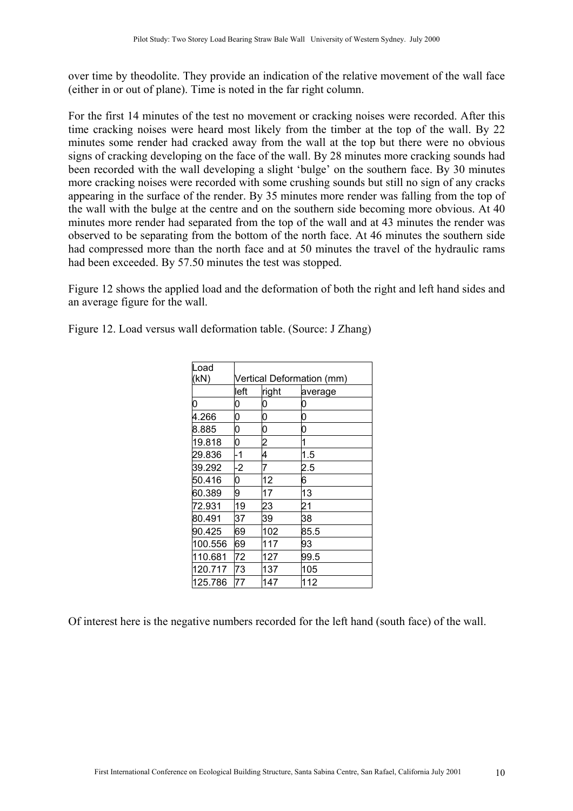over time by theodolite. They provide an indication of the relative movement of the wall face (either in or out of plane). Time is noted in the far right column.

For the first 14 minutes of the test no movement or cracking noises were recorded. After this time cracking noises were heard most likely from the timber at the top of the wall. By 22 minutes some render had cracked away from the wall at the top but there were no obvious signs of cracking developing on the face of the wall. By 28 minutes more cracking sounds had been recorded with the wall developing a slight 'bulge' on the southern face. By 30 minutes more cracking noises were recorded with some crushing sounds but still no sign of any cracks appearing in the surface of the render. By 35 minutes more render was falling from the top of the wall with the bulge at the centre and on the southern side becoming more obvious. At 40 minutes more render had separated from the top of the wall and at 43 minutes the render was observed to be separating from the bottom of the north face. At 46 minutes the southern side had compressed more than the north face and at 50 minutes the travel of the hydraulic rams had been exceeded. By 57.50 minutes the test was stopped.

Figure 12 shows the applied load and the deformation of both the right and left hand sides and an average figure for the wall.

| Load    |                           |       |         |  |  |  |
|---------|---------------------------|-------|---------|--|--|--|
| (kN)    | Vertical Deformation (mm) |       |         |  |  |  |
|         | left                      | right | average |  |  |  |
| 0       | 0                         | 0     | 0       |  |  |  |
| 4.266   | 0                         | 0     | 0       |  |  |  |
| 8.885   | 0                         | 0     | 0       |  |  |  |
| 19.818  | 0                         | 2     | 1       |  |  |  |
| 29.836  | -1                        | 4     | 1.5     |  |  |  |
| 39.292  | $-2$                      | 7     | 2.5     |  |  |  |
| 50.416  | 0                         | 12    | 6       |  |  |  |
| 60.389  | 9                         | 17    | 13      |  |  |  |
| 72.931  | 19                        | 23    | 21      |  |  |  |
| 80.491  | 37                        | 39    | 38      |  |  |  |
| 90.425  | 69                        | 102   | 85.5    |  |  |  |
| 100.556 | 69                        | 117   | 93      |  |  |  |
| 110.681 | 72                        | 127   | 99.5    |  |  |  |
| 120.717 | 73                        | 137   | 105     |  |  |  |
| 125.786 | 77                        | 147   | 112     |  |  |  |

Figure 12. Load versus wall deformation table. (Source: J Zhang)

Of interest here is the negative numbers recorded for the left hand (south face) of the wall.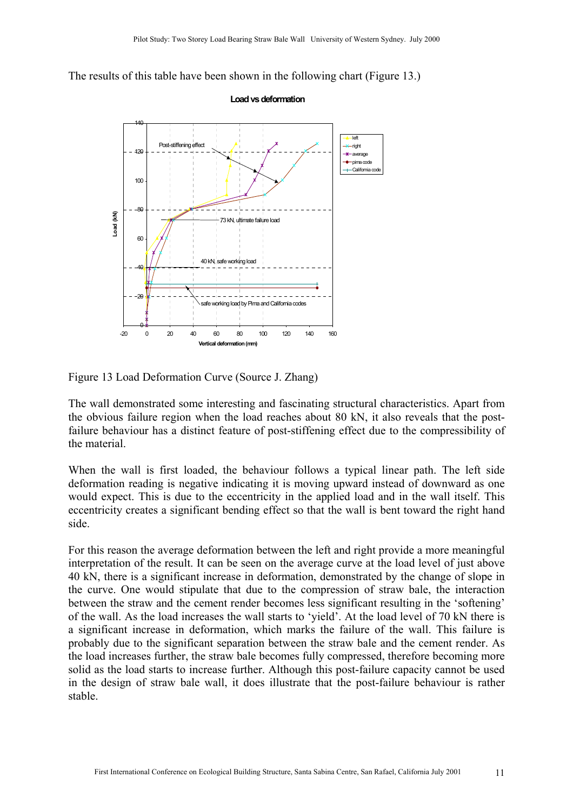The results of this table have been shown in the following chart (Figure 13.)



Figure 13 Load Deformation Curve (Source J. Zhang)

The wall demonstrated some interesting and fascinating structural characteristics. Apart from the obvious failure region when the load reaches about 80 kN, it also reveals that the postfailure behaviour has a distinct feature of post-stiffening effect due to the compressibility of the material.

When the wall is first loaded, the behaviour follows a typical linear path. The left side deformation reading is negative indicating it is moving upward instead of downward as one would expect. This is due to the eccentricity in the applied load and in the wall itself. This eccentricity creates a significant bending effect so that the wall is bent toward the right hand side.

For this reason the average deformation between the left and right provide a more meaningful interpretation of the result. It can be seen on the average curve at the load level of just above 40 kN, there is a significant increase in deformation, demonstrated by the change of slope in the curve. One would stipulate that due to the compression of straw bale, the interaction between the straw and the cement render becomes less significant resulting in the 'softening' of the wall. As the load increases the wall starts to 'yield'. At the load level of 70 kN there is a significant increase in deformation, which marks the failure of the wall. This failure is probably due to the significant separation between the straw bale and the cement render. As the load increases further, the straw bale becomes fully compressed, therefore becoming more solid as the load starts to increase further. Although this post-failure capacity cannot be used in the design of straw bale wall, it does illustrate that the post-failure behaviour is rather stable.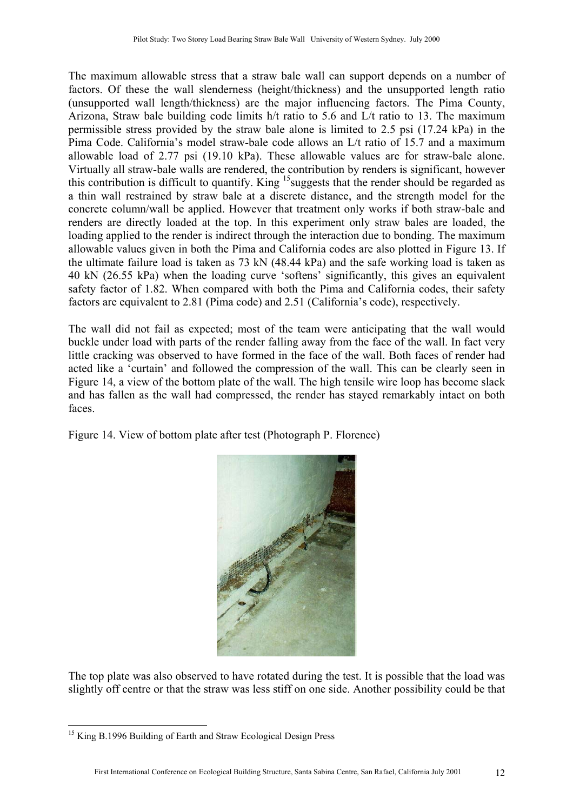The maximum allowable stress that a straw bale wall can support depends on a number of factors. Of these the wall slenderness (height/thickness) and the unsupported length ratio (unsupported wall length/thickness) are the major influencing factors. The Pima County, Arizona, Straw bale building code limits h/t ratio to 5.6 and L/t ratio to 13. The maximum permissible stress provided by the straw bale alone is limited to 2.5 psi (17.24 kPa) in the Pima Code. California's model straw-bale code allows an L/t ratio of 15.7 and a maximum allowable load of 2.77 psi (19.10 kPa). These allowable values are for straw-bale alone. Virtually all straw-bale walls are rendered, the contribution by renders is significant, however this contribution is difficult to quantify. King <sup>15</sup> suggests that the render should be regarded as a thin wall restrained by straw bale at a discrete distance, and the strength model for the concrete column/wall be applied. However that treatment only works if both straw-bale and renders are directly loaded at the top. In this experiment only straw bales are loaded, the loading applied to the render is indirect through the interaction due to bonding. The maximum allowable values given in both the Pima and California codes are also plotted in Figure 13. If the ultimate failure load is taken as 73 kN (48.44 kPa) and the safe working load is taken as 40 kN (26.55 kPa) when the loading curve 'softens' significantly, this gives an equivalent safety factor of 1.82. When compared with both the Pima and California codes, their safety factors are equivalent to 2.81 (Pima code) and 2.51 (California's code), respectively.

The wall did not fail as expected; most of the team were anticipating that the wall would buckle under load with parts of the render falling away from the face of the wall. In fact very little cracking was observed to have formed in the face of the wall. Both faces of render had acted like a 'curtain' and followed the compression of the wall. This can be clearly seen in Figure 14, a view of the bottom plate of the wall. The high tensile wire loop has become slack and has fallen as the wall had compressed, the render has stayed remarkably intact on both faces.

Figure 14. View of bottom plate after test (Photograph P. Florence)



The top plate was also observed to have rotated during the test. It is possible that the load was slightly off centre or that the straw was less stiff on one side. Another possibility could be that

<span id="page-11-0"></span> $\overline{a}$ <sup>15</sup> King B.1996 Building of Earth and Straw Ecological Design Press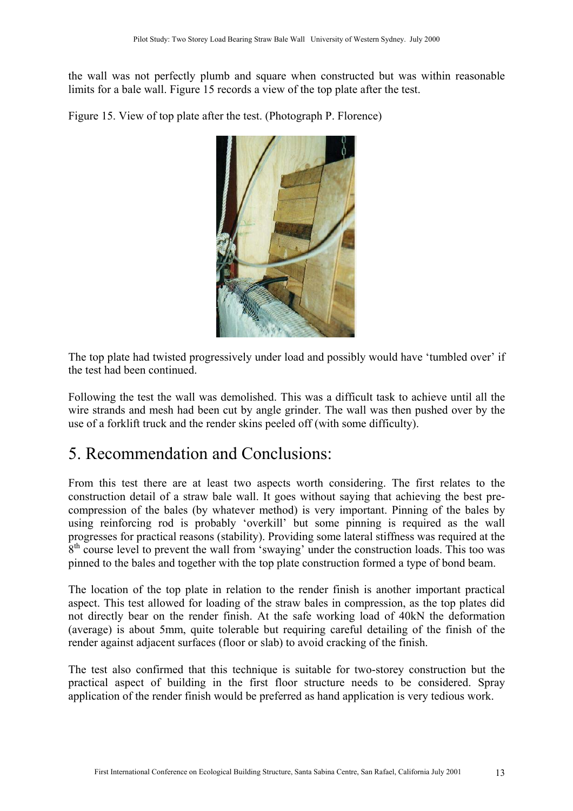the wall was not perfectly plumb and square when constructed but was within reasonable limits for a bale wall. Figure 15 records a view of the top plate after the test.

Figure 15. View of top plate after the test. (Photograph P. Florence)



The top plate had twisted progressively under load and possibly would have 'tumbled over' if the test had been continued.

Following the test the wall was demolished. This was a difficult task to achieve until all the wire strands and mesh had been cut by angle grinder. The wall was then pushed over by the use of a forklift truck and the render skins peeled off (with some difficulty).

### 5. Recommendation and Conclusions:

From this test there are at least two aspects worth considering. The first relates to the construction detail of a straw bale wall. It goes without saying that achieving the best precompression of the bales (by whatever method) is very important. Pinning of the bales by using reinforcing rod is probably 'overkill' but some pinning is required as the wall progresses for practical reasons (stability). Providing some lateral stiffness was required at the 8<sup>th</sup> course level to prevent the wall from 'swaying' under the construction loads. This too was pinned to the bales and together with the top plate construction formed a type of bond beam.

The location of the top plate in relation to the render finish is another important practical aspect. This test allowed for loading of the straw bales in compression, as the top plates did not directly bear on the render finish. At the safe working load of 40kN the deformation (average) is about 5mm, quite tolerable but requiring careful detailing of the finish of the render against adjacent surfaces (floor or slab) to avoid cracking of the finish.

The test also confirmed that this technique is suitable for two-storey construction but the practical aspect of building in the first floor structure needs to be considered. Spray application of the render finish would be preferred as hand application is very tedious work.